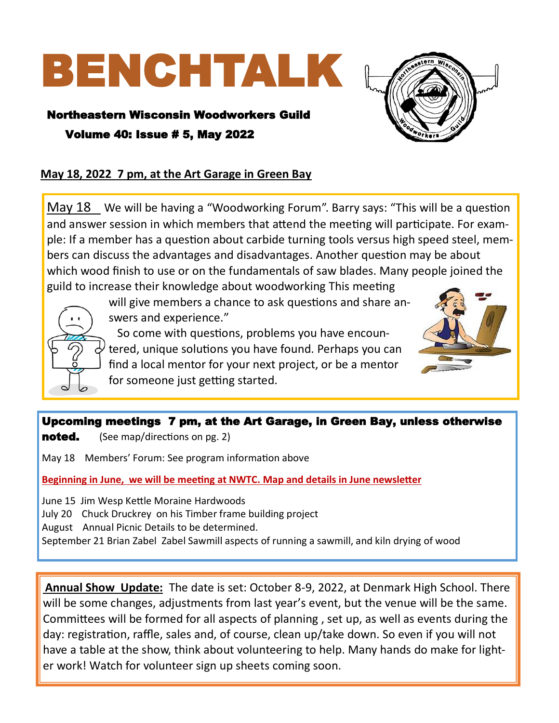# BENCHTALK

## Northeastern Wisconsin Woodworkers Guild Volume 40: Issue # 5, May 2022



## **May 18, 2022 7 pm, at the Art Garage in Green Bay**

May 18 We will be having a "Woodworking Forum". Barry says: "This will be a question and answer session in which members that attend the meeting will participate. For example: If a member has a question about carbide turning tools versus high speed steel, members can discuss the advantages and disadvantages. Another question may be about which wood finish to use or on the fundamentals of saw blades. Many people joined the guild to increase their knowledge about woodworking This meeting



will give members a chance to ask questions and share answers and experience."

 So come with questions, problems you have encountered, unique solutions you have found. Perhaps you can find a local mentor for your next project, or be a mentor for someone just getting started.



## Upcoming meetings 7 pm, at the Art Garage, in Green Bay, unless otherwise

**noted.** (See map/directions on pg. 2)

May 18 Members' Forum: See program information above

**Beginning in June, we will be meeting at NWTC. Map and details in June newsletter**

June 15 Jim Wesp Kettle Moraine Hardwoods

July 20 Chuck Druckrey on his Timber frame building project

August Annual Picnic Details to be determined.

September 21 Brian Zabel Zabel Sawmill aspects of running a sawmill, and kiln drying of wood

**Annual Show Update:** The date is set: October 8-9, 2022, at Denmark High School. There will be some changes, adjustments from last year's event, but the venue will be the same. Committees will be formed for all aspects of planning , set up, as well as events during the day: registration, raffle, sales and, of course, clean up/take down. So even if you will not have a table at the show, think about volunteering to help. Many hands do make for lighter work! Watch for volunteer sign up sheets coming soon.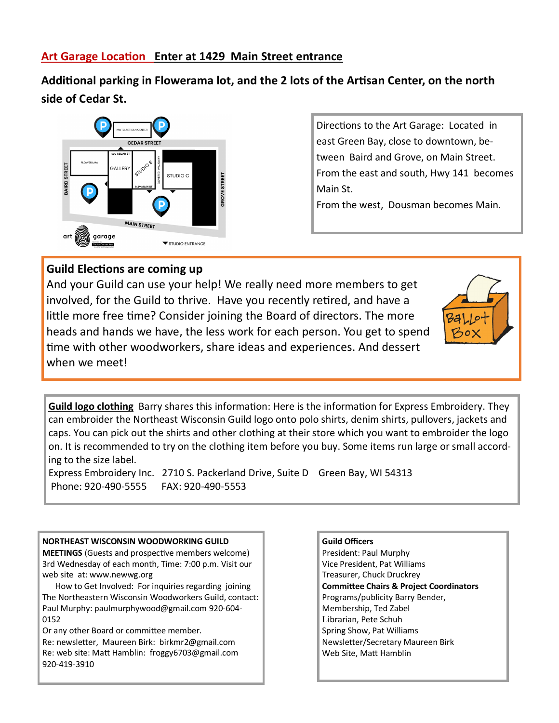## **Art Garage Location Enter at 1429 Main Street entrance**

**Additional parking in Flowerama lot, and the 2 lots of the Artisan Center, on the north side of Cedar St.**



Directions to the Art Garage: Located in east Green Bay, close to downtown, between Baird and Grove, on Main Street. From the east and south, Hwy 141 becomes Main St.

From the west, Dousman becomes Main.

## **Guild Elections are coming up**

And your Guild can use your help! We really need more members to get involved, for the Guild to thrive. Have you recently retired, and have a little more free time? Consider joining the Board of directors. The more heads and hands we have, the less work for each person. You get to spend time with other woodworkers, share ideas and experiences. And dessert when we meet!



**Guild logo clothing** Barry shares this information: Here is the information for Express Embroidery. They can embroider the Northeast Wisconsin Guild logo onto polo shirts, denim shirts, pullovers, jackets and caps. You can pick out the shirts and other clothing at their store which you want to embroider the logo on. It is recommended to try on the clothing item before you buy. Some items run large or small according to the size label.

Express Embroidery Inc. 2710 S. Packerland Drive, Suite D Green Bay, WI 54313 Phone: 920-490-5555 FAX: 920-490-5553

#### **NORTHEAST WISCONSIN WOODWORKING GUILD**

**MEETINGS** (Guests and prospective members welcome) 3rd Wednesday of each month, Time: 7:00 p.m. Visit our web site at: www.newwg.org

 How to Get Involved: For inquiries regarding joining The Northeastern Wisconsin Woodworkers Guild, contact: Paul Murphy: paulmurphywood@gmail.com 920-604- 0152

Or any other Board or committee member.

Re: newsletter, Maureen Birk: birkmr2@gmail.com Re: web site: Matt Hamblin: froggy6703@gmail.com 920-419-3910

**Guild Officers** President: Paul Murphy Vice President, Pat Williams Treasurer, Chuck Druckrey **Committee Chairs & Project Coordinators**  Programs/publicity Barry Bender, Membership, Ted Zabel Librarian, Pete Schuh Spring Show, Pat Williams Newsletter/Secretary Maureen Birk Web Site, Matt Hamblin